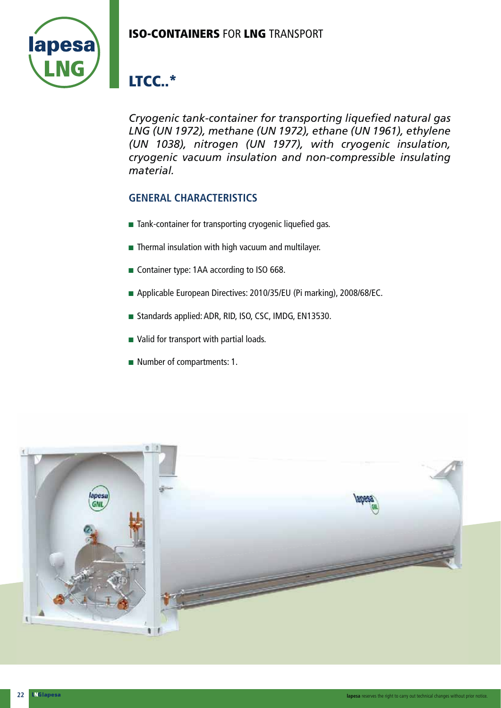## **ISO-CONTAINERS** FOR **LNG** TRANSPORT



# **LTCC..\***

*Cryogenic tank-container for transporting liquefied natural gas LNG (UN 1972), methane (UN 1972), ethane (UN 1961), ethylene (UN 1038), nitrogen (UN 1977), with cryogenic insulation, cryogenic vacuum insulation and non-compressible insulating material.*

### **GENERAL CHARACTERISTICS**

- $\blacksquare$  Tank-container for transporting cryogenic liquefied gas.
- $\blacksquare$  Thermal insulation with high vacuum and multilayer.
- Container type: 1AA according to ISO 668.
- Applicable European Directives: 2010/35/EU (Pi marking), 2008/68/EC.
- Standards applied: ADR, RID, ISO, CSC, IMDG, EN13530.
- $\blacksquare$  Valid for transport with partial loads.
- $\blacksquare$  Number of compartments: 1.